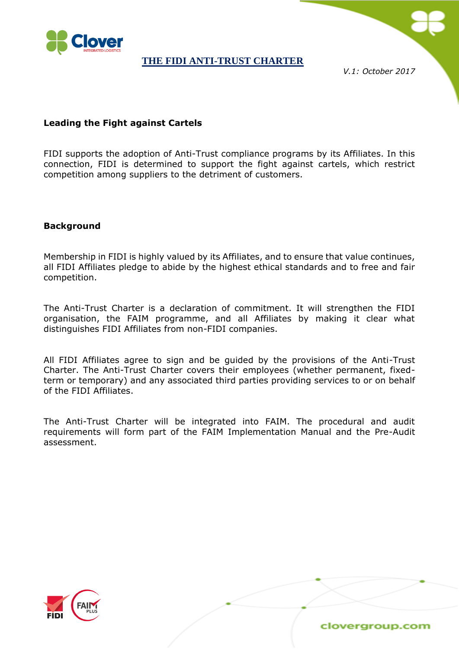

*V.1: October 2017*

### **Leading the Fight against Cartels**

FIDI supports the adoption of Anti-Trust compliance programs by its Affiliates. In this connection, FIDI is determined to support the fight against cartels, which restrict competition among suppliers to the detriment of customers.

### **Background**

Membership in FIDI is highly valued by its Affiliates, and to ensure that value continues, all FIDI Affiliates pledge to abide by the highest ethical standards and to free and fair competition.

The Anti-Trust Charter is a declaration of commitment. It will strengthen the FIDI organisation, the FAIM programme, and all Affiliates by making it clear what distinguishes FIDI Affiliates from non-FIDI companies.

All FIDI Affiliates agree to sign and be guided by the provisions of the Anti-Trust Charter. The Anti-Trust Charter covers their employees (whether permanent, fixedterm or temporary) and any associated third parties providing services to or on behalf of the FIDI Affiliates.

The Anti-Trust Charter will be integrated into FAIM. The procedural and audit requirements will form part of the FAIM Implementation Manual and the Pre-Audit assessment.

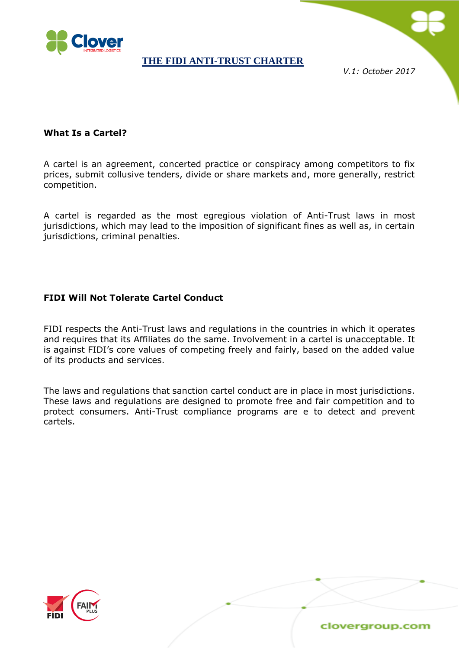

*V.1: October 2017*

# **What Is a Cartel?**

A cartel is an agreement, concerted practice or conspiracy among competitors to fix prices, submit collusive tenders, divide or share markets and, more generally, restrict competition.

A cartel is regarded as the most egregious violation of Anti-Trust laws in most jurisdictions, which may lead to the imposition of significant fines as well as, in certain jurisdictions, criminal penalties.

### **FIDI Will Not Tolerate Cartel Conduct**

FIDI respects the Anti-Trust laws and regulations in the countries in which it operates and requires that its Affiliates do the same. Involvement in a cartel is unacceptable. It is against FIDI's core values of competing freely and fairly, based on the added value of its products and services.

The laws and regulations that sanction cartel conduct are in place in most jurisdictions. These laws and regulations are designed to promote free and fair competition and to protect consumers. Anti-Trust compliance programs are e to detect and prevent cartels.

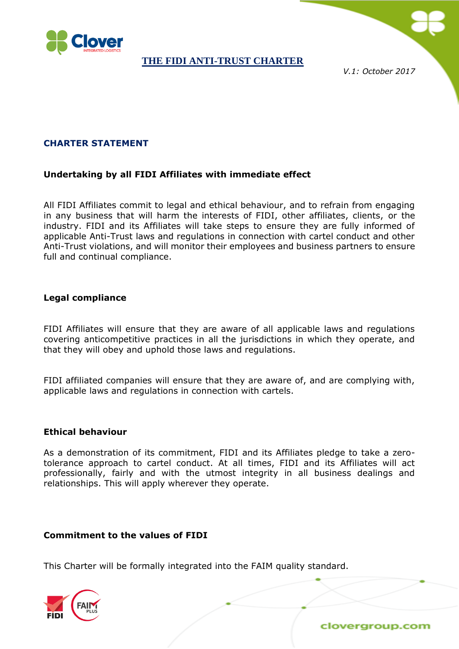

*V.1: October 2017*

# **CHARTER STATEMENT**

### **Undertaking by all FIDI Affiliates with immediate effect**

All FIDI Affiliates commit to legal and ethical behaviour, and to refrain from engaging in any business that will harm the interests of FIDI, other affiliates, clients, or the industry. FIDI and its Affiliates will take steps to ensure they are fully informed of applicable Anti-Trust laws and regulations in connection with cartel conduct and other Anti-Trust violations, and will monitor their employees and business partners to ensure full and continual compliance.

### **Legal compliance**

FIDI Affiliates will ensure that they are aware of all applicable laws and regulations covering anticompetitive practices in all the jurisdictions in which they operate, and that they will obey and uphold those laws and regulations.

FIDI affiliated companies will ensure that they are aware of, and are complying with, applicable laws and regulations in connection with cartels.

#### **Ethical behaviour**

As a demonstration of its commitment, FIDI and its Affiliates pledge to take a zerotolerance approach to cartel conduct. At all times, FIDI and its Affiliates will act professionally, fairly and with the utmost integrity in all business dealings and relationships. This will apply wherever they operate.

#### **Commitment to the values of FIDI**

This Charter will be formally integrated into the FAIM quality standard.

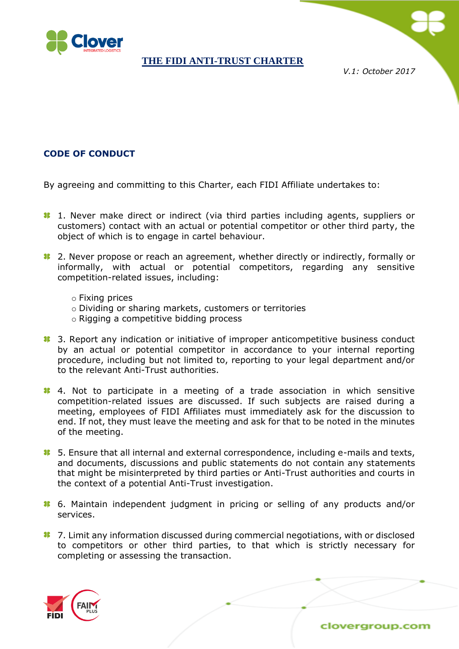

*V.1: October 2017*

# **CODE OF CONDUCT**

By agreeing and committing to this Charter, each FIDI Affiliate undertakes to:

- <sup>1</sup> 1. Never make direct or indirect (via third parties including agents, suppliers or customers) contact with an actual or potential competitor or other third party, the object of which is to engage in cartel behaviour.
- <sup>1</sup> 2. Never propose or reach an agreement, whether directly or indirectly, formally or informally, with actual or potential competitors, regarding any sensitive competition-related issues, including:
	- o Fixing prices
	- o Dividing or sharing markets, customers or territories
	- o Rigging a competitive bidding process
- **3.** Report any indication or initiative of improper anticompetitive business conduct by an actual or potential competitor in accordance to your internal reporting procedure, including but not limited to, reporting to your legal department and/or to the relevant Anti-Trust authorities.
- 4. Not to participate in a meeting of a trade association in which sensitive competition-related issues are discussed. If such subjects are raised during a meeting, employees of FIDI Affiliates must immediately ask for the discussion to end. If not, they must leave the meeting and ask for that to be noted in the minutes of the meeting.
- **8** 5. Ensure that all internal and external correspondence, including e-mails and texts, and documents, discussions and public statements do not contain any statements that might be misinterpreted by third parties or Anti-Trust authorities and courts in the context of a potential Anti-Trust investigation.
- 6. Maintain independent judgment in pricing or selling of any products and/or services.
- **<sup>1</sup>7.** Limit any information discussed during commercial negotiations, with or disclosed to competitors or other third parties, to that which is strictly necessary for completing or assessing the transaction.